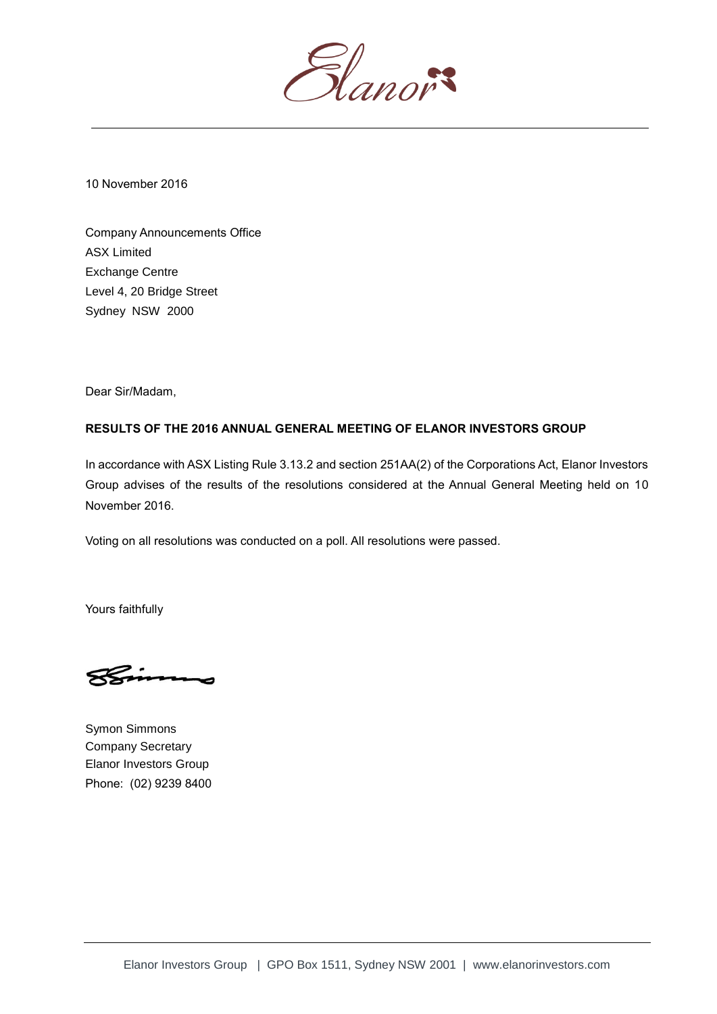

10 November 2016

Company Announcements Office ASX Limited Exchange Centre Level 4, 20 Bridge Street Sydney NSW 2000

Dear Sir/Madam,

## **RESULTS OF THE 2016 ANNUAL GENERAL MEETING OF ELANOR INVESTORS GROUP**

In accordance with ASX Listing Rule 3.13.2 and section 251AA(2) of the Corporations Act, Elanor Investors Group advises of the results of the resolutions considered at the Annual General Meeting held on 10 November 2016.

Voting on all resolutions was conducted on a poll. All resolutions were passed.

Yours faithfully

Symon Simmons Company Secretary Elanor Investors Group Phone: (02) 9239 8400